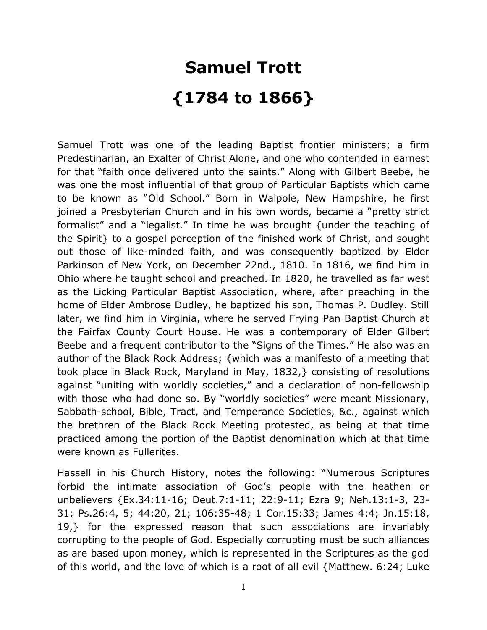## **Samuel Trott {1784 to 1866}**

Samuel Trott was one of the leading Baptist frontier ministers; a firm Predestinarian, an Exalter of Christ Alone, and one who contended in earnest for that "faith once delivered unto the saints." Along with Gilbert Beebe, he was one the most influential of that group of Particular Baptists which came to be known as "Old School." Born in Walpole, New Hampshire, he first joined a Presbyterian Church and in his own words, became a "pretty strict formalist" and a "legalist." In time he was brought {under the teaching of the Spirit} to a gospel perception of the finished work of Christ, and sought out those of like-minded faith, and was consequently baptized by Elder Parkinson of New York, on December 22nd., 1810. In 1816, we find him in Ohio where he taught school and preached. In 1820, he travelled as far west as the Licking Particular Baptist Association, where, after preaching in the home of Elder Ambrose Dudley, he baptized his son, Thomas P. Dudley. Still later, we find him in Virginia, where he served Frying Pan Baptist Church at the Fairfax County Court House. He was a contemporary of Elder Gilbert Beebe and a frequent contributor to the "Signs of the Times." He also was an author of the Black Rock Address; {which was a manifesto of a meeting that took place in Black Rock, Maryland in May, 1832,} consisting of resolutions against "uniting with worldly societies," and a declaration of non-fellowship with those who had done so. By "worldly societies" were meant Missionary, Sabbath-school, Bible, Tract, and Temperance Societies, &c., against which the brethren of the Black Rock Meeting protested, as being at that time practiced among the portion of the Baptist denomination which at that time were known as Fullerites.

Hassell in his Church History, notes the following: "Numerous Scriptures forbid the intimate association of God's people with the heathen or unbelievers {Ex.34:11-16; Deut.7:1-11; 22:9-11; Ezra 9; Neh.13:1-3, 23- 31; Ps.26:4, 5; 44:20, 21; 106:35-48; 1 Cor.15:33; James 4:4; Jn.15:18, 19,} for the expressed reason that such associations are invariably corrupting to the people of God. Especially corrupting must be such alliances as are based upon money, which is represented in the Scriptures as the god of this world, and the love of which is a root of all evil {Matthew. 6:24; Luke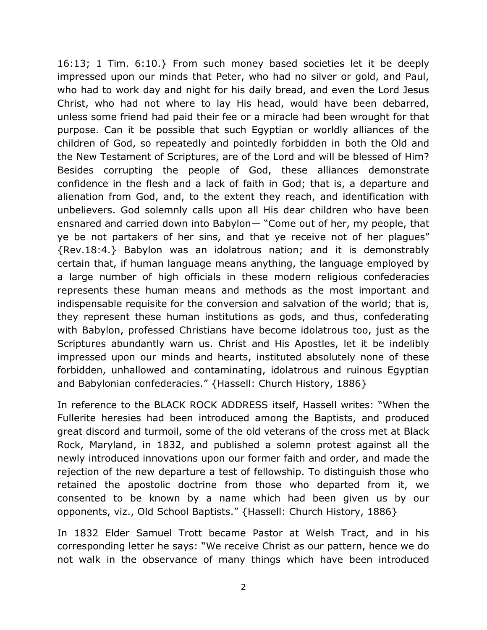16:13; 1 Tim. 6:10.} From such money based societies let it be deeply impressed upon our minds that Peter, who had no silver or gold, and Paul, who had to work day and night for his daily bread, and even the Lord Jesus Christ, who had not where to lay His head, would have been debarred, unless some friend had paid their fee or a miracle had been wrought for that purpose. Can it be possible that such Egyptian or worldly alliances of the children of God, so repeatedly and pointedly forbidden in both the Old and the New Testament of Scriptures, are of the Lord and will be blessed of Him? Besides corrupting the people of God, these alliances demonstrate confidence in the flesh and a lack of faith in God; that is, a departure and alienation from God, and, to the extent they reach, and identification with unbelievers. God solemnly calls upon all His dear children who have been ensnared and carried down into Babylon— "Come out of her, my people, that ye be not partakers of her sins, and that ye receive not of her plagues" {Rev.18:4.} Babylon was an idolatrous nation; and it is demonstrably certain that, if human language means anything, the language employed by a large number of high officials in these modern religious confederacies represents these human means and methods as the most important and indispensable requisite for the conversion and salvation of the world; that is, they represent these human institutions as gods, and thus, confederating with Babylon, professed Christians have become idolatrous too, just as the Scriptures abundantly warn us. Christ and His Apostles, let it be indelibly impressed upon our minds and hearts, instituted absolutely none of these forbidden, unhallowed and contaminating, idolatrous and ruinous Egyptian and Babylonian confederacies." {Hassell: Church History, 1886}

In reference to the BLACK ROCK ADDRESS itself, Hassell writes: "When the Fullerite heresies had been introduced among the Baptists, and produced great discord and turmoil, some of the old veterans of the cross met at Black Rock, Maryland, in 1832, and published a solemn protest against all the newly introduced innovations upon our former faith and order, and made the rejection of the new departure a test of fellowship. To distinguish those who retained the apostolic doctrine from those who departed from it, we consented to be known by a name which had been given us by our opponents, viz., Old School Baptists." {Hassell: Church History, 1886}

In 1832 Elder Samuel Trott became Pastor at Welsh Tract, and in his corresponding letter he says: "We receive Christ as our pattern, hence we do not walk in the observance of many things which have been introduced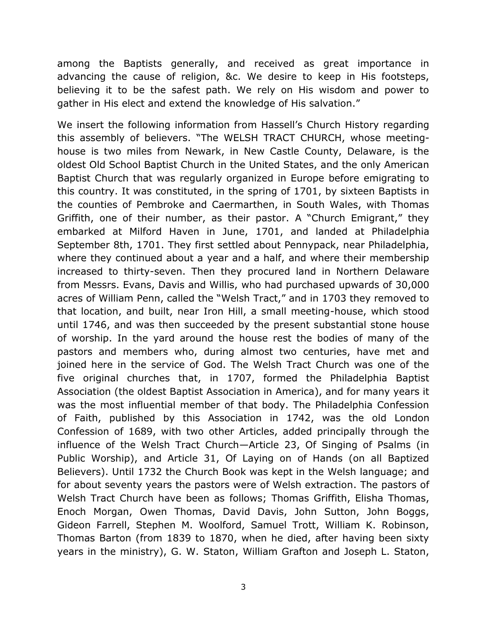among the Baptists generally, and received as great importance in advancing the cause of religion, &c. We desire to keep in His footsteps, believing it to be the safest path. We rely on His wisdom and power to gather in His elect and extend the knowledge of His salvation."

We insert the following information from Hassell's Church History regarding this assembly of believers. "The WELSH TRACT CHURCH, whose meetinghouse is two miles from Newark, in New Castle County, Delaware, is the oldest Old School Baptist Church in the United States, and the only American Baptist Church that was regularly organized in Europe before emigrating to this country. It was constituted, in the spring of 1701, by sixteen Baptists in the counties of Pembroke and Caermarthen, in South Wales, with Thomas Griffith, one of their number, as their pastor. A "Church Emigrant," they embarked at Milford Haven in June, 1701, and landed at Philadelphia September 8th, 1701. They first settled about Pennypack, near Philadelphia, where they continued about a year and a half, and where their membership increased to thirty-seven. Then they procured land in Northern Delaware from Messrs. Evans, Davis and Willis, who had purchased upwards of 30,000 acres of William Penn, called the "Welsh Tract," and in 1703 they removed to that location, and built, near Iron Hill, a small meeting-house, which stood until 1746, and was then succeeded by the present substantial stone house of worship. In the yard around the house rest the bodies of many of the pastors and members who, during almost two centuries, have met and joined here in the service of God. The Welsh Tract Church was one of the five original churches that, in 1707, formed the Philadelphia Baptist Association (the oldest Baptist Association in America), and for many years it was the most influential member of that body. The Philadelphia Confession of Faith, published by this Association in 1742, was the old London Confession of 1689, with two other Articles, added principally through the influence of the Welsh Tract Church—Article 23, Of Singing of Psalms (in Public Worship), and Article 31, Of Laying on of Hands (on all Baptized Believers). Until 1732 the Church Book was kept in the Welsh language; and for about seventy years the pastors were of Welsh extraction. The pastors of Welsh Tract Church have been as follows; Thomas Griffith, Elisha Thomas, Enoch Morgan, Owen Thomas, David Davis, John Sutton, John Boggs, Gideon Farrell, Stephen M. Woolford, Samuel Trott, William K. Robinson, Thomas Barton (from 1839 to 1870, when he died, after having been sixty years in the ministry), G. W. Staton, William Grafton and Joseph L. Staton,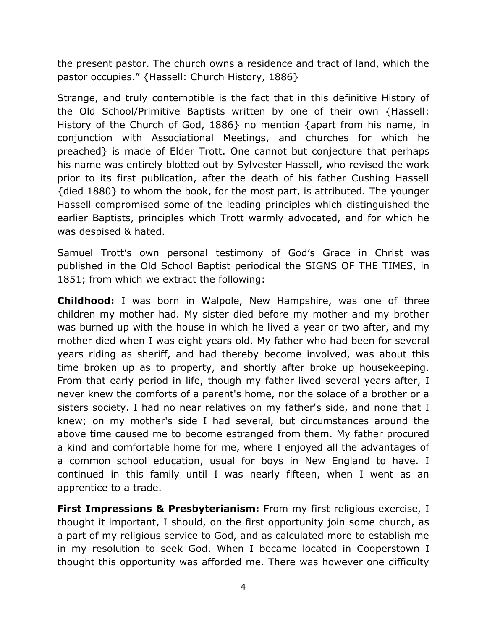the present pastor. The church owns a residence and tract of land, which the pastor occupies." {Hassell: Church History, 1886}

Strange, and truly contemptible is the fact that in this definitive History of the Old School/Primitive Baptists written by one of their own {Hassell: History of the Church of God, 1886} no mention {apart from his name, in conjunction with Associational Meetings, and churches for which he preached} is made of Elder Trott. One cannot but conjecture that perhaps his name was entirely blotted out by Sylvester Hassell, who revised the work prior to its first publication, after the death of his father Cushing Hassell {died 1880} to whom the book, for the most part, is attributed. The younger Hassell compromised some of the leading principles which distinguished the earlier Baptists, principles which Trott warmly advocated, and for which he was despised & hated.

Samuel Trott's own personal testimony of God's Grace in Christ was published in the Old School Baptist periodical the SIGNS OF THE TIMES, in 1851; from which we extract the following:

**Childhood:** I was born in Walpole, New Hampshire, was one of three children my mother had. My sister died before my mother and my brother was burned up with the house in which he lived a year or two after, and my mother died when I was eight years old. My father who had been for several years riding as sheriff, and had thereby become involved, was about this time broken up as to property, and shortly after broke up housekeeping. From that early period in life, though my father lived several years after, I never knew the comforts of a parent's home, nor the solace of a brother or a sisters society. I had no near relatives on my father's side, and none that I knew; on my mother's side I had several, but circumstances around the above time caused me to become estranged from them. My father procured a kind and comfortable home for me, where I enjoyed all the advantages of a common school education, usual for boys in New England to have. I continued in this family until I was nearly fifteen, when I went as an apprentice to a trade.

**First Impressions & Presbyterianism:** From my first religious exercise, I thought it important, I should, on the first opportunity join some church, as a part of my religious service to God, and as calculated more to establish me in my resolution to seek God. When I became located in Cooperstown I thought this opportunity was afforded me. There was however one difficulty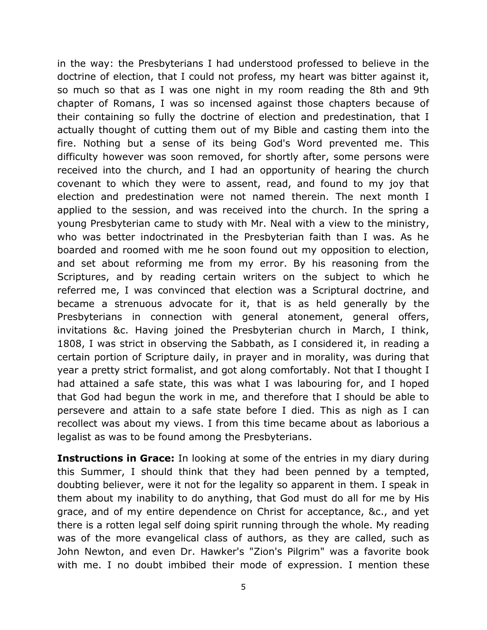in the way: the Presbyterians I had understood professed to believe in the doctrine of election, that I could not profess, my heart was bitter against it, so much so that as I was one night in my room reading the 8th and 9th chapter of Romans, I was so incensed against those chapters because of their containing so fully the doctrine of election and predestination, that I actually thought of cutting them out of my Bible and casting them into the fire. Nothing but a sense of its being God's Word prevented me. This difficulty however was soon removed, for shortly after, some persons were received into the church, and I had an opportunity of hearing the church covenant to which they were to assent, read, and found to my joy that election and predestination were not named therein. The next month I applied to the session, and was received into the church. In the spring a young Presbyterian came to study with Mr. Neal with a view to the ministry, who was better indoctrinated in the Presbyterian faith than I was. As he boarded and roomed with me he soon found out my opposition to election, and set about reforming me from my error. By his reasoning from the Scriptures, and by reading certain writers on the subject to which he referred me, I was convinced that election was a Scriptural doctrine, and became a strenuous advocate for it, that is as held generally by the Presbyterians in connection with general atonement, general offers, invitations &c. Having joined the Presbyterian church in March, I think, 1808, I was strict in observing the Sabbath, as I considered it, in reading a certain portion of Scripture daily, in prayer and in morality, was during that year a pretty strict formalist, and got along comfortably. Not that I thought I had attained a safe state, this was what I was labouring for, and I hoped that God had begun the work in me, and therefore that I should be able to persevere and attain to a safe state before I died. This as nigh as I can recollect was about my views. I from this time became about as laborious a legalist as was to be found among the Presbyterians.

**Instructions in Grace:** In looking at some of the entries in my diary during this Summer, I should think that they had been penned by a tempted, doubting believer, were it not for the legality so apparent in them. I speak in them about my inability to do anything, that God must do all for me by His grace, and of my entire dependence on Christ for acceptance, &c., and yet there is a rotten legal self doing spirit running through the whole. My reading was of the more evangelical class of authors, as they are called, such as John Newton, and even Dr. Hawker's "Zion's Pilgrim" was a favorite book with me. I no doubt imbibed their mode of expression. I mention these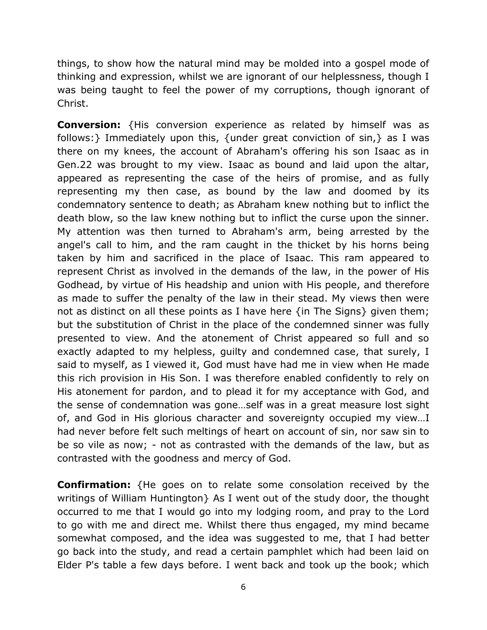things, to show how the natural mind may be molded into a gospel mode of thinking and expression, whilst we are ignorant of our helplessness, though I was being taught to feel the power of my corruptions, though ignorant of Christ.

**Conversion:** {His conversion experience as related by himself was as follows:} Immediately upon this, {under great conviction of sin,} as I was there on my knees, the account of Abraham's offering his son Isaac as in Gen.22 was brought to my view. Isaac as bound and laid upon the altar, appeared as representing the case of the heirs of promise, and as fully representing my then case, as bound by the law and doomed by its condemnatory sentence to death; as Abraham knew nothing but to inflict the death blow, so the law knew nothing but to inflict the curse upon the sinner. My attention was then turned to Abraham's arm, being arrested by the angel's call to him, and the ram caught in the thicket by his horns being taken by him and sacrificed in the place of Isaac. This ram appeared to represent Christ as involved in the demands of the law, in the power of His Godhead, by virtue of His headship and union with His people, and therefore as made to suffer the penalty of the law in their stead. My views then were not as distinct on all these points as I have here {in The Signs} given them; but the substitution of Christ in the place of the condemned sinner was fully presented to view. And the atonement of Christ appeared so full and so exactly adapted to my helpless, guilty and condemned case, that surely, I said to myself, as I viewed it, God must have had me in view when He made this rich provision in His Son. I was therefore enabled confidently to rely on His atonement for pardon, and to plead it for my acceptance with God, and the sense of condemnation was gone…self was in a great measure lost sight of, and God in His glorious character and sovereignty occupied my view…I had never before felt such meltings of heart on account of sin, nor saw sin to be so vile as now; - not as contrasted with the demands of the law, but as contrasted with the goodness and mercy of God.

**Confirmation:** {He goes on to relate some consolation received by the writings of William Huntington} As I went out of the study door, the thought occurred to me that I would go into my lodging room, and pray to the Lord to go with me and direct me. Whilst there thus engaged, my mind became somewhat composed, and the idea was suggested to me, that I had better go back into the study, and read a certain pamphlet which had been laid on Elder P's table a few days before. I went back and took up the book; which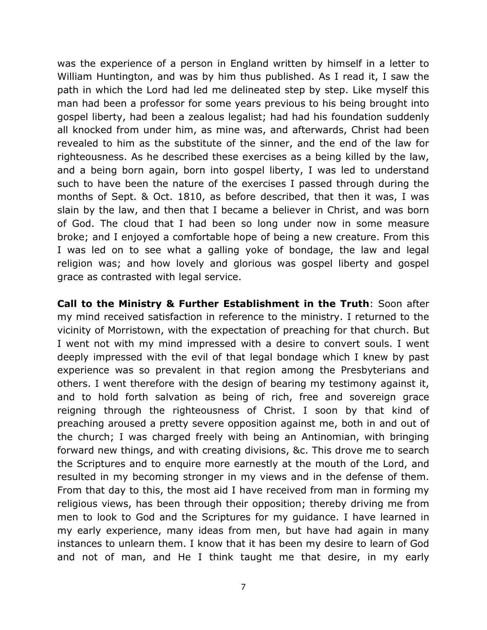was the experience of a person in England written by himself in a letter to William Huntington, and was by him thus published. As I read it, I saw the path in which the Lord had led me delineated step by step. Like myself this man had been a professor for some years previous to his being brought into gospel liberty, had been a zealous legalist; had had his foundation suddenly all knocked from under him, as mine was, and afterwards, Christ had been revealed to him as the substitute of the sinner, and the end of the law for righteousness. As he described these exercises as a being killed by the law, and a being born again, born into gospel liberty, I was led to understand such to have been the nature of the exercises I passed through during the months of Sept. & Oct. 1810, as before described, that then it was, I was slain by the law, and then that I became a believer in Christ, and was born of God. The cloud that I had been so long under now in some measure broke; and I enjoyed a comfortable hope of being a new creature. From this I was led on to see what a galling yoke of bondage, the law and legal religion was; and how lovely and glorious was gospel liberty and gospel grace as contrasted with legal service.

**Call to the Ministry & Further Establishment in the Truth**: Soon after my mind received satisfaction in reference to the ministry. I returned to the vicinity of Morristown, with the expectation of preaching for that church. But I went not with my mind impressed with a desire to convert souls. I went deeply impressed with the evil of that legal bondage which I knew by past experience was so prevalent in that region among the Presbyterians and others. I went therefore with the design of bearing my testimony against it, and to hold forth salvation as being of rich, free and sovereign grace reigning through the righteousness of Christ. I soon by that kind of preaching aroused a pretty severe opposition against me, both in and out of the church; I was charged freely with being an Antinomian, with bringing forward new things, and with creating divisions, &c. This drove me to search the Scriptures and to enquire more earnestly at the mouth of the Lord, and resulted in my becoming stronger in my views and in the defense of them. From that day to this, the most aid I have received from man in forming my religious views, has been through their opposition; thereby driving me from men to look to God and the Scriptures for my guidance. I have learned in my early experience, many ideas from men, but have had again in many instances to unlearn them. I know that it has been my desire to learn of God and not of man, and He I think taught me that desire, in my early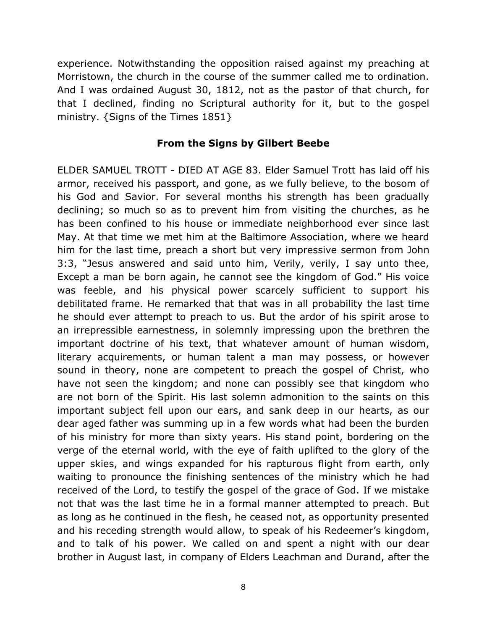experience. Notwithstanding the opposition raised against my preaching at Morristown, the church in the course of the summer called me to ordination. And I was ordained August 30, 1812, not as the pastor of that church, for that I declined, finding no Scriptural authority for it, but to the gospel ministry. {Signs of the Times 1851}

## **From the Signs by Gilbert Beebe**

ELDER SAMUEL TROTT - DIED AT AGE 83. Elder Samuel Trott has laid off his armor, received his passport, and gone, as we fully believe, to the bosom of his God and Savior. For several months his strength has been gradually declining; so much so as to prevent him from visiting the churches, as he has been confined to his house or immediate neighborhood ever since last May. At that time we met him at the Baltimore Association, where we heard him for the last time, preach a short but very impressive sermon from John 3:3, "Jesus answered and said unto him, Verily, verily, I say unto thee, Except a man be born again, he cannot see the kingdom of God." His voice was feeble, and his physical power scarcely sufficient to support his debilitated frame. He remarked that that was in all probability the last time he should ever attempt to preach to us. But the ardor of his spirit arose to an irrepressible earnestness, in solemnly impressing upon the brethren the important doctrine of his text, that whatever amount of human wisdom, literary acquirements, or human talent a man may possess, or however sound in theory, none are competent to preach the gospel of Christ, who have not seen the kingdom; and none can possibly see that kingdom who are not born of the Spirit. His last solemn admonition to the saints on this important subject fell upon our ears, and sank deep in our hearts, as our dear aged father was summing up in a few words what had been the burden of his ministry for more than sixty years. His stand point, bordering on the verge of the eternal world, with the eye of faith uplifted to the glory of the upper skies, and wings expanded for his rapturous flight from earth, only waiting to pronounce the finishing sentences of the ministry which he had received of the Lord, to testify the gospel of the grace of God. If we mistake not that was the last time he in a formal manner attempted to preach. But as long as he continued in the flesh, he ceased not, as opportunity presented and his receding strength would allow, to speak of his Redeemer's kingdom, and to talk of his power. We called on and spent a night with our dear brother in August last, in company of Elders Leachman and Durand, after the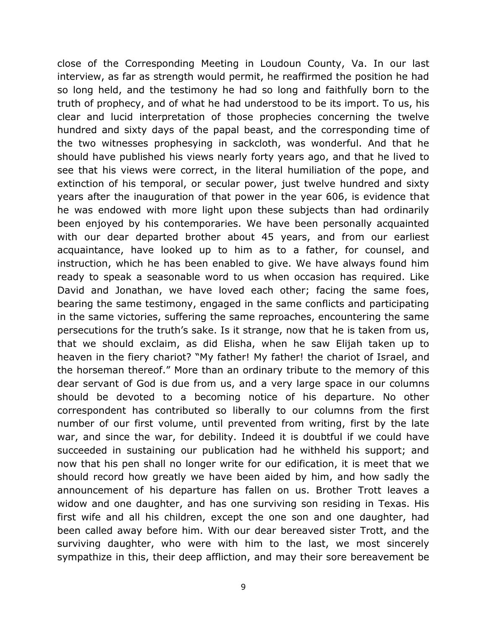close of the Corresponding Meeting in Loudoun County, Va. In our last interview, as far as strength would permit, he reaffirmed the position he had so long held, and the testimony he had so long and faithfully born to the truth of prophecy, and of what he had understood to be its import. To us, his clear and lucid interpretation of those prophecies concerning the twelve hundred and sixty days of the papal beast, and the corresponding time of the two witnesses prophesying in sackcloth, was wonderful. And that he should have published his views nearly forty years ago, and that he lived to see that his views were correct, in the literal humiliation of the pope, and extinction of his temporal, or secular power, just twelve hundred and sixty years after the inauguration of that power in the year 606, is evidence that he was endowed with more light upon these subjects than had ordinarily been enjoyed by his contemporaries. We have been personally acquainted with our dear departed brother about 45 years, and from our earliest acquaintance, have looked up to him as to a father, for counsel, and instruction, which he has been enabled to give. We have always found him ready to speak a seasonable word to us when occasion has required. Like David and Jonathan, we have loved each other; facing the same foes, bearing the same testimony, engaged in the same conflicts and participating in the same victories, suffering the same reproaches, encountering the same persecutions for the truth's sake. Is it strange, now that he is taken from us, that we should exclaim, as did Elisha, when he saw Elijah taken up to heaven in the fiery chariot? "My father! My father! the chariot of Israel, and the horseman thereof." More than an ordinary tribute to the memory of this dear servant of God is due from us, and a very large space in our columns should be devoted to a becoming notice of his departure. No other correspondent has contributed so liberally to our columns from the first number of our first volume, until prevented from writing, first by the late war, and since the war, for debility. Indeed it is doubtful if we could have succeeded in sustaining our publication had he withheld his support; and now that his pen shall no longer write for our edification, it is meet that we should record how greatly we have been aided by him, and how sadly the announcement of his departure has fallen on us. Brother Trott leaves a widow and one daughter, and has one surviving son residing in Texas. His first wife and all his children, except the one son and one daughter, had been called away before him. With our dear bereaved sister Trott, and the surviving daughter, who were with him to the last, we most sincerely sympathize in this, their deep affliction, and may their sore bereavement be